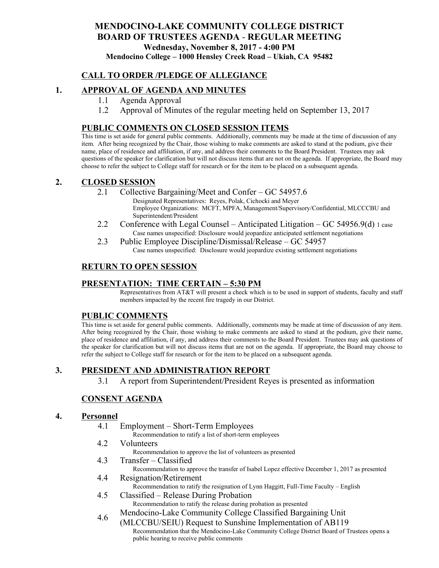## **MENDOCINO-LAKE COMMUNITY COLLEGE DISTRICT BOARD OF TRUSTEES AGENDA** - **REGULAR MEETING Wednesday, November 8, 2017 - 4:00 PM Mendocino College – 1000 Hensley Creek Road – Ukiah, CA 95482**

## **CALL TO ORDER /PLEDGE OF ALLEGIANCE**

## **1. APPROVAL OF AGENDA AND MINUTES**

- 1.1 Agenda Approval
- 1.2 Approval of Minutes of the regular meeting held on September 13, 2017

### **PUBLIC COMMENTS ON CLOSED SESSION ITEMS**

This time is set aside for general public comments. Additionally, comments may be made at the time of discussion of any item. After being recognized by the Chair, those wishing to make comments are asked to stand at the podium, give their name, place of residence and affiliation, if any, and address their comments to the Board President. Trustees may ask questions of the speaker for clarification but will not discuss items that are not on the agenda. If appropriate, the Board may choose to refer the subject to College staff for research or for the item to be placed on a subsequent agenda.

#### **2. CLOSED SESSION**

2.1 Collective Bargaining/Meet and Confer – GC 54957.6

Designated Representatives: Reyes, Polak, Cichocki and Meyer Employee Organizations: MCFT, MPFA, Management/Supervisory/Confidential, MLCCCBU and Superintendent/President

- 2.2 Conference with Legal Counsel Anticipated Litigation GC 54956.9(d) 1 case Case names unspecified: Disclosure would jeopardize anticipated settlement negotiations
- 2.3 Public Employee Discipline/Dismissal/Release GC 54957 Case names unspecified: Disclosure would jeopardize existing settlement negotiations

## **RETURN TO OPEN SESSION**

#### **PRESENTATION: TIME CERTAIN – 5:30 PM**

Representatives from AT&T will present a check which is to be used in support of students, faculty and staff members impacted by the recent fire tragedy in our District.

#### **PUBLIC COMMENTS**

This time is set aside for general public comments. Additionally, comments may be made at time of discussion of any item. After being recognized by the Chair, those wishing to make comments are asked to stand at the podium, give their name, place of residence and affiliation, if any, and address their comments to the Board President. Trustees may ask questions of the speaker for clarification but will not discuss items that are not on the agenda. If appropriate, the Board may choose to refer the subject to College staff for research or for the item to be placed on a subsequent agenda.

### **3. PRESIDENT AND ADMINISTRATION REPORT**

3.1 A report from Superintendent/President Reyes is presented as information

### **CONSENT AGENDA**

#### **4. Personnel**

- 4.1 Employment Short-Term Employees
	- Recommendation to ratify a list of short-term employees
- 4.2 Volunteers

Recommendation to approve the list of volunteers as presented

- 4.3 Transfer Classified Recommendation to approve the transfer of Isabel Lopez effective December 1, 2017 as presented
- 4.4 Resignation/Retirement Recommendation to ratify the resignation of Lynn Haggitt, Full-Time Faculty – English
- 4.5 Classified Release During Probation Recommendation to ratify the release during probation as presented
- 4.6 Mendocino-Lake Community College Classified Bargaining Unit
	- (MLCCBU/SEIU) Request to Sunshine Implementation of AB119 Recommendation that the Mendocino-Lake Community College District Board of Trustees opens a public hearing to receive public comments